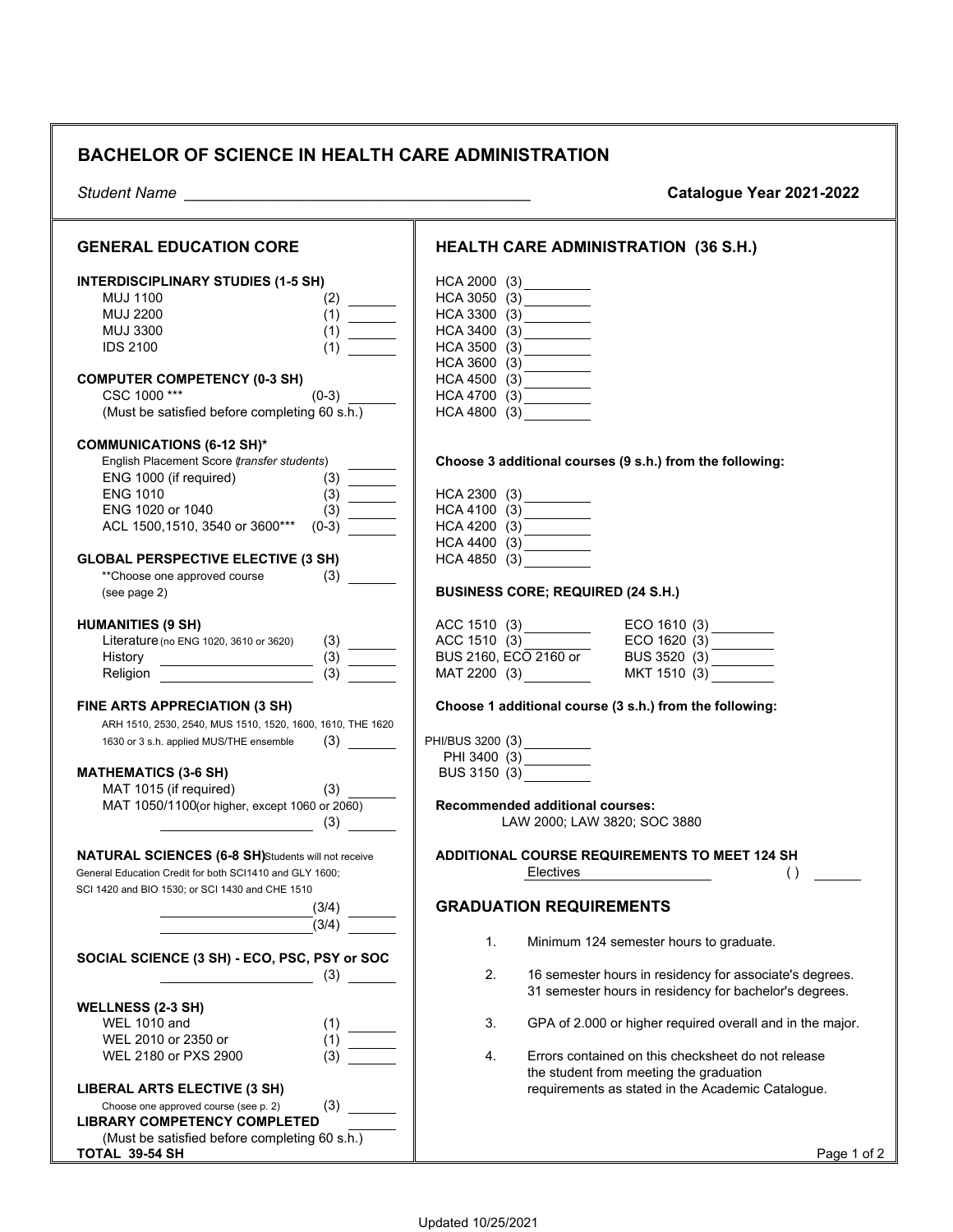## **BACHELOR OF SCIENCE IN HEALTH CARE ADMINISTRATION**

| <b>Student Name</b>                                        | Catalogue Year 2021-2022                                                                              |
|------------------------------------------------------------|-------------------------------------------------------------------------------------------------------|
| <b>GENERAL EDUCATION CORE</b>                              | <b>HEALTH CARE ADMINISTRATION (36 S.H.)</b>                                                           |
| <b>INTERDISCIPLINARY STUDIES (1-5 SH)</b>                  | HCA 2000 (3)                                                                                          |
| <b>MUJ 1100</b><br>(2)                                     | HCA 3050 (3) _________                                                                                |
| <b>MUJ 2200</b><br>(1)                                     | HCA 3300 (3) _________                                                                                |
| <b>MUJ 3300</b><br>(1)                                     | HCA 3400 (3)                                                                                          |
| <b>IDS 2100</b><br>(1)                                     | HCA 3500 (3) _________                                                                                |
|                                                            | HCA 3600 (3)                                                                                          |
| <b>COMPUTER COMPETENCY (0-3 SH)</b>                        | HCA 4500 (3) _________                                                                                |
| CSC 1000***<br>$(0-3)$                                     | HCA 4700 (3) _________                                                                                |
| (Must be satisfied before completing 60 s.h.)              | HCA 4800 (3)                                                                                          |
| <b>COMMUNICATIONS (6-12 SH)*</b>                           |                                                                                                       |
| English Placement Score (transfer students)                | Choose 3 additional courses (9 s.h.) from the following:                                              |
| ENG 1000 (if required)<br>(3)                              |                                                                                                       |
| <b>ENG 1010</b><br>$\frac{1}{2}$<br>(3)                    | HCA 2300 (3)                                                                                          |
| ENG 1020 or 1040<br>(3)                                    | $HCA\,4100\;\; (3)$                                                                                   |
| ACL 1500,1510, 3540 or 3600***<br>$(0-3)$                  | HCA 4200 (3)                                                                                          |
|                                                            | HCA 4400 (3)                                                                                          |
| <b>GLOBAL PERSPECTIVE ELECTIVE (3 SH)</b>                  | HCA 4850 (3)                                                                                          |
| **Choose one approved course<br>(3)                        |                                                                                                       |
| (see page 2)                                               | <b>BUSINESS CORE; REQUIRED (24 S.H.)</b>                                                              |
| <b>HUMANITIES (9 SH)</b>                                   |                                                                                                       |
| (3)<br>Literature (no ENG 1020, 3610 or 3620)              |                                                                                                       |
| History _______________________                            |                                                                                                       |
| (3)<br>Religion                                            | ACC 1510 (3)<br>ACC 1510 (3)<br>BUS 2160, ECO 2160 or<br>MAT 2200 (3)<br>MAT 2200 (3)<br>MAT 1510 (3) |
| FINE ARTS APPRECIATION (3 SH)                              | Choose 1 additional course (3 s.h.) from the following:                                               |
| ARH 1510, 2530, 2540, MUS 1510, 1520, 1600, 1610, THE 1620 |                                                                                                       |
| (3)<br>1630 or 3 s.h. applied MUS/THE ensemble             | PHI/BUS 3200 (3)<br>PHI 3400 (3)                                                                      |
|                                                            |                                                                                                       |
| <b>MATHEMATICS (3-6 SH)</b>                                | BUS 3150 (3)                                                                                          |
| MAT 1015 (if required)<br>(3)                              |                                                                                                       |
| MAT 1050/1100(or higher, except 1060 or 2060)              | <b>Recommended additional courses:</b>                                                                |
| (3)                                                        | LAW 2000; LAW 3820; SOC 3880                                                                          |
| <b>NATURAL SCIENCES (6-8 SH)</b> Students will not receive | <b>ADDITIONAL COURSE REQUIREMENTS TO MEET 124 SH</b>                                                  |
| General Education Credit for both SCI1410 and GLY 1600;    | Electives<br>$\left( \right)$                                                                         |
| SCI 1420 and BIO 1530; or SCI 1430 and CHE 1510            |                                                                                                       |
| (3/4)                                                      | <b>GRADUATION REQUIREMENTS</b>                                                                        |
| (3/4)                                                      |                                                                                                       |
|                                                            | 1.<br>Minimum 124 semester hours to graduate.                                                         |
| SOCIAL SCIENCE (3 SH) - ECO, PSC, PSY or SOC               |                                                                                                       |
| (3)                                                        | 2.<br>16 semester hours in residency for associate's degrees.                                         |
|                                                            | 31 semester hours in residency for bachelor's degrees.                                                |
| <b>WELLNESS (2-3 SH)</b>                                   |                                                                                                       |
| <b>WEL 1010 and</b><br>(1)                                 | 3.<br>GPA of 2.000 or higher required overall and in the major.                                       |
| WEL 2010 or 2350 or<br>(1)                                 |                                                                                                       |
| WEL 2180 or PXS 2900<br>(3)                                | 4.<br>Errors contained on this checksheet do not release                                              |
|                                                            | the student from meeting the graduation                                                               |
| <b>LIBERAL ARTS ELECTIVE (3 SH)</b>                        | requirements as stated in the Academic Catalogue.                                                     |
| (3)<br>Choose one approved course (see p. 2)               |                                                                                                       |
| <b>LIBRARY COMPETENCY COMPLETED</b>                        |                                                                                                       |
| (Must be satisfied before completing 60 s.h.)              |                                                                                                       |
| TOTAL 39-54 SH                                             | Page 1 of 2                                                                                           |